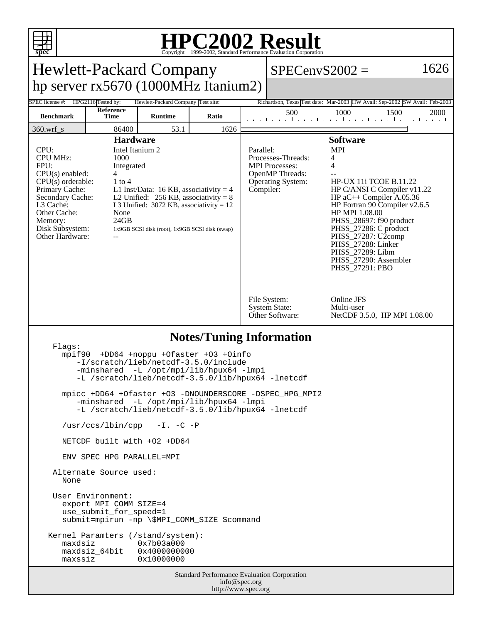

## **HPC2002 Result** Copyright 1999-2002, Standard Performance Evaluation Corporation

| spec<br>Copyright ©1999-2002, Standard Performance Evaluation Corporation                                                                                                                                                                                                                                                                                                                                                                                                          |                    |                                    |       |                                                                                                                                                                                   |                                                         |                                                                                                                                                                                                                                                                                             |      |  |
|------------------------------------------------------------------------------------------------------------------------------------------------------------------------------------------------------------------------------------------------------------------------------------------------------------------------------------------------------------------------------------------------------------------------------------------------------------------------------------|--------------------|------------------------------------|-------|-----------------------------------------------------------------------------------------------------------------------------------------------------------------------------------|---------------------------------------------------------|---------------------------------------------------------------------------------------------------------------------------------------------------------------------------------------------------------------------------------------------------------------------------------------------|------|--|
| 1626<br><b>Hewlett-Packard Company</b><br>$SPECenvS2002 =$                                                                                                                                                                                                                                                                                                                                                                                                                         |                    |                                    |       |                                                                                                                                                                                   |                                                         |                                                                                                                                                                                                                                                                                             |      |  |
| hp server $rx5670(1000MHz$ Itanium2)                                                                                                                                                                                                                                                                                                                                                                                                                                               |                    |                                    |       |                                                                                                                                                                                   |                                                         |                                                                                                                                                                                                                                                                                             |      |  |
| SPEC license #:                                                                                                                                                                                                                                                                                                                                                                                                                                                                    | HPG2116 Tested by: | Hewlett-Packard Company Test site: |       |                                                                                                                                                                                   |                                                         | Richardson, Texas Test date: Mar-2003 HW Avail: Sep-2002 SW Avail: Feb-2003                                                                                                                                                                                                                 |      |  |
| <b>Benchmark</b>                                                                                                                                                                                                                                                                                                                                                                                                                                                                   | Reference<br>Time  | <b>Runtime</b>                     | Ratio |                                                                                                                                                                                   | 500                                                     | 1000<br>1500<br>المتقبط وتقبط وتقبط وتقبط وتقبط وتقبط وتقبط وتقب                                                                                                                                                                                                                            | 2000 |  |
| $360.wrf$ <sub>s</sub>                                                                                                                                                                                                                                                                                                                                                                                                                                                             | 86400              | 53.1                               | 1626  |                                                                                                                                                                                   |                                                         |                                                                                                                                                                                                                                                                                             |      |  |
| <b>Hardware</b><br>CPU:<br>Intel Itanium 2<br><b>CPU MHz:</b><br>1000<br>FPU:<br>Integrated<br>$CPU(s)$ enabled:<br>4<br>$1$ to $4$<br>$CPU(s)$ orderable:<br>Primary Cache:<br>L1 Inst/Data: 16 KB, associativity = 4<br>Secondary Cache:<br>L2 Unified: $256$ KB, associativity = 8<br>L3 Cache:<br>L3 Unified: $3072$ KB, associativity = 12<br>None<br>Other Cache:<br>24GB<br>Memory:<br>Disk Subsystem:<br>1x9GB SCSI disk (root), 1x9GB SCSI disk (swap)<br>Other Hardware: |                    |                                    |       | <b>Software</b><br><b>MPI</b><br>Parallel:<br>Processes-Threads:<br>4<br><b>MPI</b> Processes:<br>4<br>OpenMP Threads:<br><b>Operating System:</b><br>Compiler:<br>HP MPI 1.08.00 |                                                         | <b>HP-UX 11i TCOE B.11.22</b><br>HP C/ANSI C Compiler v11.22<br>HP $aC++$ Compiler A.05.36<br>HP Fortran 90 Compiler v2.6.5<br>PHSS_28697: f90 product<br>PHSS_27286: C product<br>PHSS_27287: U2comp<br>PHSS_27288: Linker<br>PHSS_27289: Libm<br>PHSS 27290: Assembler<br>PHSS_27291: PBO |      |  |
|                                                                                                                                                                                                                                                                                                                                                                                                                                                                                    |                    |                                    |       |                                                                                                                                                                                   | File System:<br><b>System State:</b><br>Other Software: | Online JFS<br>Multi-user<br>NetCDF 3.5.0, HP MPI 1.08.00                                                                                                                                                                                                                                    |      |  |
| <b>Notes/Tuning Information</b><br>Flaqs:<br>+DD64 +noppu +Ofaster +03 +Oinfo<br>mpif90<br>-I/scratch/lieb/netcdf-3.5.0/include<br>-minshared -L /opt/mpi/lib/hpux64 -lmpi<br>-L /scratch/lieb/netcdf-3.5.0/lib/hpux64 -lnetcdf                                                                                                                                                                                                                                                    |                    |                                    |       |                                                                                                                                                                                   |                                                         |                                                                                                                                                                                                                                                                                             |      |  |
| mpicc +DD64 +Ofaster +O3 -DNOUNDERSCORE -DSPEC_HPG_MPI2<br>-minshared -L /opt/mpi/lib/hpux64 -lmpi<br>-L /scratch/lieb/netcdf-3.5.0/lib/hpux64 -lnetcdf<br>/usr/ccs/lbin/cpp -I.-C-P                                                                                                                                                                                                                                                                                               |                    |                                    |       |                                                                                                                                                                                   |                                                         |                                                                                                                                                                                                                                                                                             |      |  |
| NETCDF built with +02 +DD64                                                                                                                                                                                                                                                                                                                                                                                                                                                        |                    |                                    |       |                                                                                                                                                                                   |                                                         |                                                                                                                                                                                                                                                                                             |      |  |
| ENV SPEC HPG PARALLEL=MPI                                                                                                                                                                                                                                                                                                                                                                                                                                                          |                    |                                    |       |                                                                                                                                                                                   |                                                         |                                                                                                                                                                                                                                                                                             |      |  |
| Alternate Source used:<br>None                                                                                                                                                                                                                                                                                                                                                                                                                                                     |                    |                                    |       |                                                                                                                                                                                   |                                                         |                                                                                                                                                                                                                                                                                             |      |  |
| User Environment:<br>export MPI COMM SIZE=4<br>use_submit_for_speed=1<br>submit=mpirun -np \\$MPI_COMM_SIZE \$command<br>Kernel Paramters (/stand/system):<br>maxdsiz<br>0x7b03a000<br>maxdsiz_64bit<br>0x4000000000<br>0x10000000<br>maxssiz                                                                                                                                                                                                                                      |                    |                                    |       |                                                                                                                                                                                   |                                                         |                                                                                                                                                                                                                                                                                             |      |  |
| Standard Performance Evaluation Corporation<br>info@spec.org<br>http://www.spec.org                                                                                                                                                                                                                                                                                                                                                                                                |                    |                                    |       |                                                                                                                                                                                   |                                                         |                                                                                                                                                                                                                                                                                             |      |  |